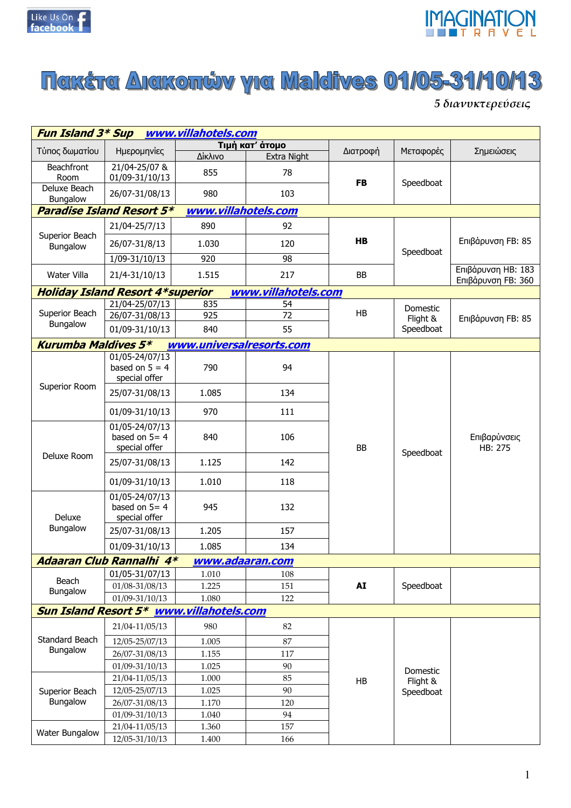



## **Nakšta Amkončv yra Maldives 01/05-31/10/13**

5 διανυκτερεύσεις

| <b>Fun Island 3* Sup</b><br>www.villahotels.com |                                                     |                          |                     |           |                      |                                          |  |
|-------------------------------------------------|-----------------------------------------------------|--------------------------|---------------------|-----------|----------------------|------------------------------------------|--|
| Τύπος δωματίου                                  | Ημερομηνίες                                         |                          | Τιμή κατ' άτομο     | Διατροφή  | Μεταφορές            | Σημειώσεις                               |  |
|                                                 |                                                     | Δίκλινο                  | Extra Night         |           |                      |                                          |  |
| <b>Beachfront</b><br>Room                       | 21/04-25/07 &<br>01/09-31/10/13                     | 855                      | 78                  | <b>FB</b> | Speedboat            |                                          |  |
| Deluxe Beach<br>Bungalow                        | 26/07-31/08/13                                      | 980                      | 103                 |           |                      |                                          |  |
|                                                 | <b>Paradise Island Resort 5*</b>                    | www.villahotels.com      |                     |           |                      |                                          |  |
|                                                 | 21/04-25/7/13                                       | 890                      | 92                  |           |                      |                                          |  |
| Superior Beach<br>Bungalow                      | 26/07-31/8/13                                       | 1.030                    | 120                 | HB        | Speedboat            | Επιβάρυνση FB: 85                        |  |
|                                                 | 1/09-31/10/13                                       | 920                      | 98                  |           |                      |                                          |  |
| Water Villa                                     | 21/4-31/10/13                                       | 1.515                    | 217                 | BB        |                      | Επιβάρυνση ΗΒ: 183<br>Επιβάρυνση FB: 360 |  |
|                                                 | <b>Holiday Island Resort 4*superior</b>             |                          | www.villahotels.com |           |                      |                                          |  |
|                                                 | 21/04-25/07/13                                      | 835                      | 54                  |           | Domestic             |                                          |  |
| Superior Beach                                  | 26/07-31/08/13                                      | 925                      | 72                  | HB        | Flight &             | Επιβάρυνση FB: 85                        |  |
| Bungalow                                        | 01/09-31/10/13                                      | 840                      | 55                  |           | Speedboat            |                                          |  |
| <b>Kurumba Maldives 5*</b>                      |                                                     | www.universalresorts.com |                     |           |                      |                                          |  |
|                                                 | 01/05-24/07/13<br>based on $5 = 4$<br>special offer | 790                      | 94                  |           |                      |                                          |  |
| Superior Room                                   | 25/07-31/08/13                                      | 1.085                    | 134                 |           |                      |                                          |  |
|                                                 | 01/09-31/10/13                                      | 970                      | 111                 |           |                      |                                          |  |
|                                                 | 01/05-24/07/13<br>based on $5=4$<br>special offer   | 840                      | 106                 | BB        | Speedboat            | Επιβαρύνσεις<br>HB: 275                  |  |
| Deluxe Room                                     | 25/07-31/08/13                                      | 1.125                    | 142                 |           |                      |                                          |  |
|                                                 | 01/09-31/10/13                                      | 1.010                    | 118                 |           |                      |                                          |  |
| Deluxe                                          | 01/05-24/07/13<br>based on $5=4$<br>special offer   | 945                      | 132                 |           |                      |                                          |  |
| Bungalow                                        | 25/07-31/08/13                                      | 1.205                    | 157                 |           |                      |                                          |  |
|                                                 | 01/09-31/10/13                                      | 1.085                    | 134                 |           |                      |                                          |  |
|                                                 | Adaaran Club Rannalhi 4*                            | www.adaaran.com          |                     |           |                      |                                          |  |
|                                                 | 01/05-31/07/13                                      | 1.010                    | 108                 |           |                      |                                          |  |
| Beach                                           | 01/08-31/08/13                                      | 1.225                    | 151                 | AI        | Speedboat            |                                          |  |
| Bungalow                                        | 01/09-31/10/13                                      | 1.080                    | 122                 |           |                      |                                          |  |
|                                                 | Sun Island Resort 5* www.villahotels.com            |                          |                     |           |                      |                                          |  |
|                                                 | 21/04-11/05/13                                      | 980                      | 82                  |           |                      |                                          |  |
| Standard Beach                                  | 12/05-25/07/13                                      | 1.005                    | 87                  |           |                      |                                          |  |
| Bungalow                                        | 26/07-31/08/13                                      | 1.155                    | 117                 |           |                      |                                          |  |
|                                                 | 01/09-31/10/13                                      | 1.025                    | 90                  |           |                      |                                          |  |
|                                                 | 21/04-11/05/13                                      | $1.000\,$                | 85                  | HB        | Domestic<br>Flight & |                                          |  |
| Superior Beach                                  | 12/05-25/07/13                                      | 1.025                    | 90                  |           | Speedboat            |                                          |  |
| Bungalow                                        | 26/07-31/08/13                                      | 1.170                    | 120                 |           |                      |                                          |  |
|                                                 | 01/09-31/10/13                                      | 1.040                    | 94                  |           |                      |                                          |  |
| Water Bungalow                                  | 21/04-11/05/13                                      | 1.360                    | 157                 |           |                      |                                          |  |
|                                                 | 12/05-31/10/13                                      | 1.400                    | 166                 |           |                      |                                          |  |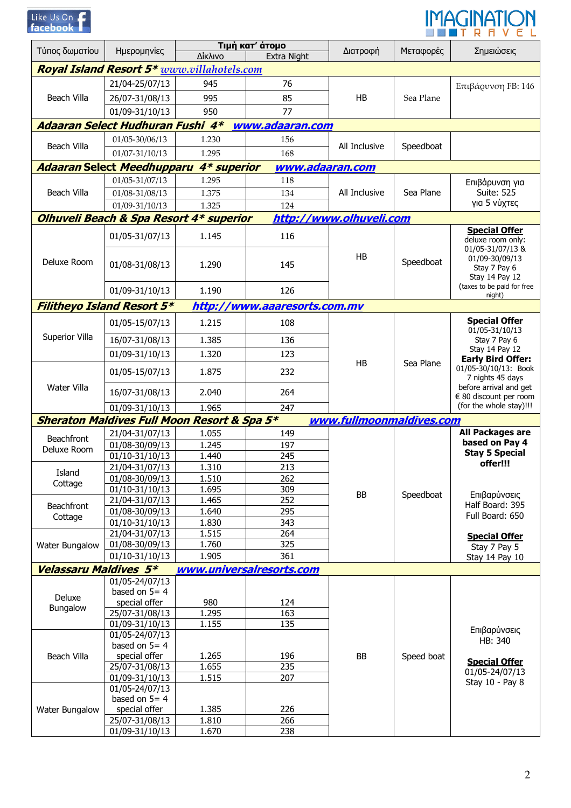| Like Us On - |  |  |
|--------------|--|--|
| facebook     |  |  |



| Τύπος δωματίου               | Ημερομηνίες                                            | Δίκλινο        | Τιμή κατ' άτομο<br>Extra Night | Διατροφή                 | Μεταφορές  | Σημειώσεις                                                                                |  |  |  |
|------------------------------|--------------------------------------------------------|----------------|--------------------------------|--------------------------|------------|-------------------------------------------------------------------------------------------|--|--|--|
|                              | <b>Royal Island Resort 5*</b> www.villahotels.com      |                |                                |                          |            |                                                                                           |  |  |  |
|                              | 21/04-25/07/13                                         | 945            | 76                             |                          |            | Επιβάρυνση FB: 146                                                                        |  |  |  |
| Beach Villa                  | 26/07-31/08/13                                         | 995            | 85                             | HB                       | Sea Plane  |                                                                                           |  |  |  |
|                              | 01/09-31/10/13                                         | 950            | 77                             |                          |            |                                                                                           |  |  |  |
|                              | Adaaran Select Hudhuran Fushi 4*                       |                | www.adaaran.com                |                          |            |                                                                                           |  |  |  |
|                              | 01/05-30/06/13                                         | 1.230          | 156                            |                          |            |                                                                                           |  |  |  |
| Beach Villa                  | 01/07-31/10/13                                         | 1.295          | 168                            | All Inclusive            | Speedboat  |                                                                                           |  |  |  |
|                              | <b>Adaaran Select Meedhupparu</b>                      | 4* superior    | www.adaaran.com                |                          |            |                                                                                           |  |  |  |
|                              | 01/05-31/07/13                                         | 1.295          | 118                            |                          |            | Επιβάρυνση για                                                                            |  |  |  |
| Beach Villa                  | 01/08-31/08/13                                         | 1.375          | 134                            | All Inclusive            | Sea Plane  | <b>Suite: 525</b>                                                                         |  |  |  |
|                              | 01/09-31/10/13                                         | 1.325          | 124                            |                          |            | για 5 νύχτες                                                                              |  |  |  |
|                              | Olhuveli Beach & Spa Resort 4* superior                |                |                                | http://www.olhuveli.com  |            |                                                                                           |  |  |  |
|                              | 01/05-31/07/13                                         | 1.145          | 116                            |                          |            | <b>Special Offer</b>                                                                      |  |  |  |
| Deluxe Room                  | 01/08-31/08/13                                         | 1.290          | 145                            | <b>HB</b>                | Speedboat  | deluxe room only:<br>01/05-31/07/13 &<br>01/09-30/09/13<br>Stay 7 Pay 6<br>Stay 14 Pay 12 |  |  |  |
|                              | 01/09-31/10/13                                         | 1.190          | 126                            |                          |            | (taxes to be paid for free<br>night)                                                      |  |  |  |
|                              | <b>Filitheyo Island Resort 5*</b>                      |                | http://www.aaaresorts.com.mv   |                          |            |                                                                                           |  |  |  |
|                              | 01/05-15/07/13                                         | 1.215          | 108                            |                          |            | <b>Special Offer</b>                                                                      |  |  |  |
| Superior Villa               | 16/07-31/08/13                                         | 1.385          | 136                            |                          |            | 01/05-31/10/13<br>Stay 7 Pay 6                                                            |  |  |  |
|                              | 01/09-31/10/13                                         | 1.320          | 123                            |                          |            | Stay 14 Pay 12                                                                            |  |  |  |
|                              |                                                        |                |                                | HB                       | Sea Plane  | <b>Early Bird Offer:</b>                                                                  |  |  |  |
| Water Villa                  | 01/05-15/07/13                                         | 1.875          | 232                            |                          |            | 01/05-30/10/13: Book<br>7 nights 45 days<br>before arrival and get                        |  |  |  |
|                              | 16/07-31/08/13                                         | 2.040          | 264                            |                          |            | € 80 discount per room                                                                    |  |  |  |
|                              | 01/09-31/10/13                                         | 1.965          | 247                            |                          |            | (for the whole stay)!!!                                                                   |  |  |  |
|                              | <b>Sheraton Maldives Full Moon Resort &amp; Spa 5*</b> |                |                                | www.fullmoonmaldives.com |            |                                                                                           |  |  |  |
| <b>Beachfront</b>            | 21/04-31/07/13                                         | 1.055          | 149                            |                          | Speedboat  | All Packages are<br>based on Pay 4                                                        |  |  |  |
| Deluxe Room                  | 01/08-30/09/13<br>01/10-31/10/13                       | 1.245<br>1.440 | 197<br>245                     |                          |            | <b>Stay 5 Special</b>                                                                     |  |  |  |
|                              | 21/04-31/07/13                                         | 1.310          | 213                            |                          |            | offer!!!                                                                                  |  |  |  |
| Island                       | 01/08-30/09/13                                         | 1.510          | 262                            |                          |            |                                                                                           |  |  |  |
| Cottage                      | 01/10-31/10/13                                         | 1.695          | 309                            |                          |            |                                                                                           |  |  |  |
|                              | 21/04-31/07/13                                         | 1.465          | 252                            | BB                       |            | Επιβαρύνσεις                                                                              |  |  |  |
| Beachfront                   | 01/08-30/09/13                                         | 1.640          | 295                            |                          |            | Half Board: 395<br>Full Board: 650                                                        |  |  |  |
| Cottage                      | 01/10-31/10/13                                         | 1.830          | 343                            |                          |            |                                                                                           |  |  |  |
|                              | 21/04-31/07/13                                         | 1.515          | $\overline{264}$               |                          |            | <b>Special Offer</b>                                                                      |  |  |  |
| Water Bungalow               | 01/08-30/09/13                                         | 1.760          | 325                            |                          |            | Stay 7 Pay 5                                                                              |  |  |  |
|                              | 01/10-31/10/13                                         | 1.905          | 361                            |                          |            | Stay 14 Pay 10                                                                            |  |  |  |
| <b>Velassaru Maldives 5*</b> |                                                        |                | www.universalresorts.com       |                          |            |                                                                                           |  |  |  |
|                              | 01/05-24/07/13                                         |                |                                |                          |            |                                                                                           |  |  |  |
| Deluxe                       | based on $5=4$                                         |                |                                |                          |            |                                                                                           |  |  |  |
| Bungalow                     | special offer<br>25/07-31/08/13                        | 980<br>1.295   | 124<br>163                     |                          |            |                                                                                           |  |  |  |
|                              | 01/09-31/10/13                                         | 1.155          | 135                            |                          |            |                                                                                           |  |  |  |
|                              | 01/05-24/07/13                                         |                |                                |                          |            | Επιβαρύνσεις                                                                              |  |  |  |
|                              | based on $5=4$                                         |                |                                |                          |            | HB: 340                                                                                   |  |  |  |
| Beach Villa                  | special offer                                          | 1.265          | 196                            | BB                       | Speed boat |                                                                                           |  |  |  |
|                              | 25/07-31/08/13                                         | 1.655          | 235                            |                          |            | <b>Special Offer</b>                                                                      |  |  |  |
|                              | 01/09-31/10/13                                         | 1.515          | 207                            |                          |            | 01/05-24/07/13<br>Stay 10 - Pay 8                                                         |  |  |  |
|                              | 01/05-24/07/13                                         |                |                                |                          |            |                                                                                           |  |  |  |
|                              | based on $5=4$                                         |                |                                |                          |            |                                                                                           |  |  |  |
| Water Bungalow               | special offer                                          | 1.385          | 226                            |                          |            |                                                                                           |  |  |  |
|                              | 25/07-31/08/13<br>01/09-31/10/13                       | 1.810<br>1.670 | 266<br>238                     |                          |            |                                                                                           |  |  |  |
|                              |                                                        |                |                                |                          |            |                                                                                           |  |  |  |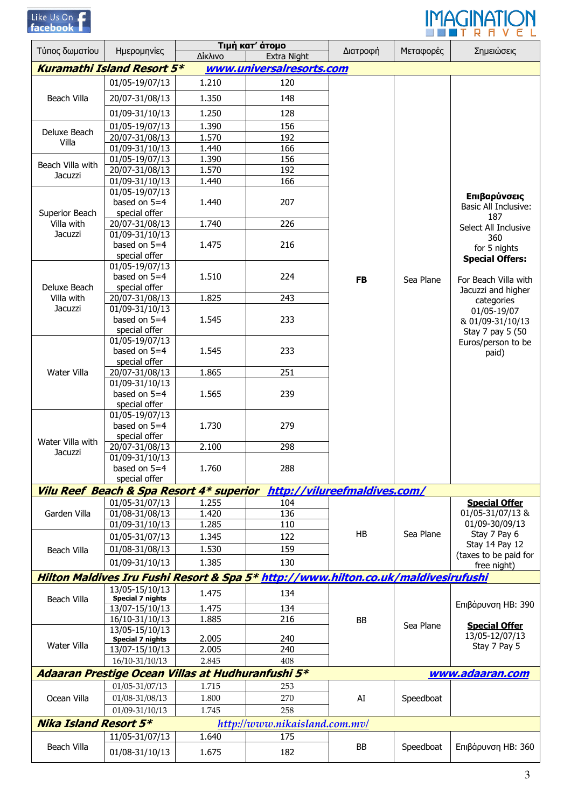| $like$ $1150$ |             |  |
|---------------|-------------|--|
|               | <b>Phoo</b> |  |



|                              |                                                   |                | Τιμή κατ' άτομο                                                                    |                              |           |                                                                           |
|------------------------------|---------------------------------------------------|----------------|------------------------------------------------------------------------------------|------------------------------|-----------|---------------------------------------------------------------------------|
| Τύπος δωματίου               | Ημερομηνίες                                       | Δίκλινο        | Extra Night                                                                        | Διατροφή                     | Μεταφορές | Σημειώσεις                                                                |
|                              | <b>Kuramathi Island Resort 5*</b>                 |                | www.universalresorts.com                                                           |                              |           |                                                                           |
|                              | 01/05-19/07/13                                    | 1.210          | 120                                                                                |                              |           |                                                                           |
| <b>Beach Villa</b>           | 20/07-31/08/13                                    | 1.350          | 148                                                                                |                              |           |                                                                           |
|                              | 01/09-31/10/13                                    | 1.250          | 128                                                                                |                              |           |                                                                           |
|                              | 01/05-19/07/13                                    | 1.390          | 156                                                                                |                              |           |                                                                           |
| Deluxe Beach                 | 20/07-31/08/13                                    | 1.570          | 192                                                                                |                              |           |                                                                           |
| Villa                        | 01/09-31/10/13                                    | 1.440          | 166                                                                                |                              |           |                                                                           |
| Beach Villa with             | 01/05-19/07/13                                    | 1.390          | 156                                                                                |                              |           |                                                                           |
| Jacuzzi                      | 20/07-31/08/13                                    | 1.570          | 192                                                                                |                              |           |                                                                           |
|                              | 01/09-31/10/13                                    | 1.440          | 166                                                                                |                              |           |                                                                           |
|                              | 01/05-19/07/13<br>based on $5=4$                  | 1.440          | 207                                                                                |                              |           | Επιβαρύνσεις<br><b>Basic All Inclusive:</b>                               |
| Superior Beach               | special offer                                     | 1.740          | 226                                                                                |                              |           | 187                                                                       |
| Villa with<br>Jacuzzi        | 20/07-31/08/13<br>01/09-31/10/13                  |                |                                                                                    |                              |           | Select All Inclusive                                                      |
|                              | based on $5=4$                                    | 1.475          | 216                                                                                |                              |           | 360                                                                       |
|                              | special offer                                     |                |                                                                                    |                              |           | for 5 nights                                                              |
|                              | 01/05-19/07/13                                    |                |                                                                                    |                              |           | <b>Special Offers:</b>                                                    |
|                              | based on $5=4$                                    | 1.510          | 224                                                                                | <b>FB</b>                    |           | For Beach Villa with                                                      |
| Deluxe Beach                 | special offer                                     |                |                                                                                    |                              | Sea Plane | Jacuzzi and higher                                                        |
| Villa with                   | 20/07-31/08/13                                    | 1.825          | 243                                                                                |                              |           | categories                                                                |
| Jacuzzi                      | 01/09-31/10/13                                    |                |                                                                                    |                              |           | 01/05-19/07<br>& 01/09-31/10/13<br>Stay 7 pay 5 (50<br>Euros/person to be |
|                              | based on $5=4$                                    | 1.545          | 233                                                                                |                              |           |                                                                           |
|                              | special offer                                     |                |                                                                                    |                              |           |                                                                           |
|                              | 01/05-19/07/13                                    |                |                                                                                    |                              |           |                                                                           |
|                              | based on $5=4$                                    | 1.545          | 233                                                                                |                              |           | paid)                                                                     |
|                              | special offer                                     |                |                                                                                    |                              |           |                                                                           |
| Water Villa                  | 20/07-31/08/13                                    | 1.865          | 251                                                                                |                              |           |                                                                           |
|                              | 01/09-31/10/13<br>based on $5=4$                  |                | 1.565<br>239<br>279                                                                |                              |           |                                                                           |
|                              | special offer                                     |                |                                                                                    |                              |           |                                                                           |
|                              | 01/05-19/07/13                                    |                |                                                                                    |                              |           |                                                                           |
|                              | based on $5=4$                                    | 1.730          |                                                                                    |                              |           |                                                                           |
|                              | special offer                                     |                |                                                                                    |                              |           |                                                                           |
| Water Villa with             | 20/07-31/08/13                                    | 2.100          | 298                                                                                |                              |           |                                                                           |
| Jacuzzi                      | 01/09-31/10/13                                    |                |                                                                                    |                              |           |                                                                           |
|                              | based on $5=4$                                    | 1.760          | 288                                                                                |                              |           |                                                                           |
|                              | special offer                                     |                |                                                                                    |                              |           |                                                                           |
|                              | Vilu Reef Beach & Spa Resort 4* superior          |                |                                                                                    | http://vilureefmaldives.com/ |           |                                                                           |
|                              | 01/05-31/07/13                                    | 1.255          | 104                                                                                |                              |           | <b>Special Offer</b>                                                      |
| Garden Villa                 | 01/08-31/08/13                                    | 1.420          | 136                                                                                |                              |           | 01/05-31/07/13 &                                                          |
|                              | 01/09-31/10/13                                    | 1.285          | 110                                                                                |                              |           | 01/09-30/09/13                                                            |
|                              | 01/05-31/07/13                                    | 1.345          | 122                                                                                | HB                           | Sea Plane | Stay 7 Pay 6<br>Stay 14 Pay 12                                            |
| Beach Villa                  | 01/08-31/08/13                                    | 1.530          | 159                                                                                |                              |           | (taxes to be paid for                                                     |
|                              | 01/09-31/10/13                                    | 1.385          | 130                                                                                |                              |           | free night)                                                               |
|                              |                                                   |                | Hilton Maldives Iru Fushi Resort & Spa 5* http://www.hilton.co.uk/maldivesirufushi |                              |           |                                                                           |
|                              | 13/05-15/10/13                                    | 1.475          | 134                                                                                |                              |           |                                                                           |
| Beach Villa                  | <b>Special 7 nights</b>                           |                |                                                                                    |                              |           | Επιβάρυνση ΗΒ: 390                                                        |
|                              | 13/07-15/10/13<br>16/10-31/10/13                  | 1.475<br>1.885 | 134<br>216                                                                         |                              |           |                                                                           |
|                              | 13/05-15/10/13                                    |                |                                                                                    | BB                           | Sea Plane | <b>Special Offer</b>                                                      |
|                              | Special 7 nights                                  | 2.005          | 240                                                                                |                              |           | 13/05-12/07/13                                                            |
| Water Villa                  | 13/07-15/10/13                                    | 2.005          | 240                                                                                |                              |           | Stay 7 Pay 5                                                              |
|                              | 16/10-31/10/13                                    | 2.845          | 408                                                                                |                              |           |                                                                           |
|                              | Adaaran Prestige Ocean Villas at Hudhuranfushi 5* |                |                                                                                    |                              |           | www.adaaran.com                                                           |
|                              | 01/05-31/07/13                                    | 1.715          | 253                                                                                |                              |           |                                                                           |
| Ocean Villa                  | 01/08-31/08/13                                    | 1.800          | 270                                                                                | AI                           | Speedboat |                                                                           |
|                              | 01/09-31/10/13                                    | 1.745          | 258                                                                                |                              |           |                                                                           |
| <b>Nika Island Resort 5*</b> |                                                   |                |                                                                                    |                              |           |                                                                           |
|                              |                                                   |                | http://www.nikaisland.com.mv/                                                      |                              |           |                                                                           |
|                              | 11/05-31/07/13                                    | 1.640          | 175                                                                                |                              |           |                                                                           |
| Beach Villa                  | 01/08-31/10/13                                    | 1.675          | 182                                                                                | BB                           | Speedboat | Επιβάρυνση ΗΒ: 360                                                        |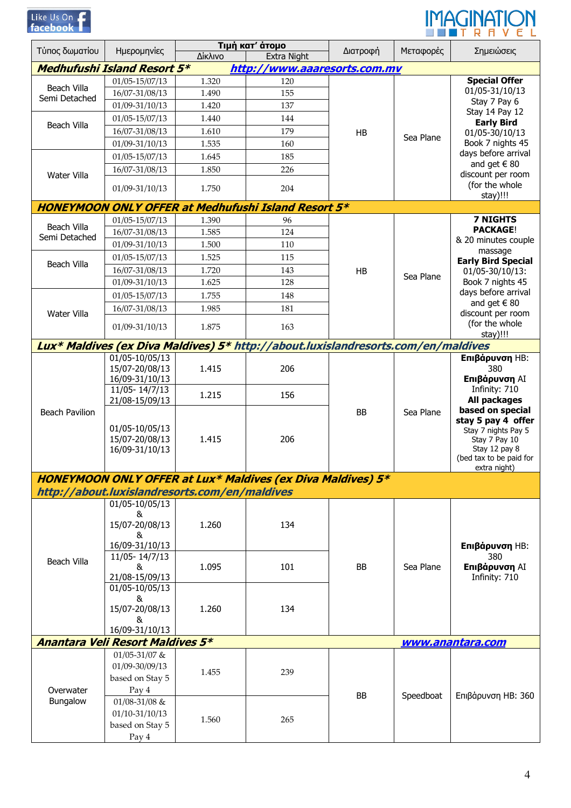| Like Us On |  |  |
|------------|--|--|
| facebook   |  |  |



| Τύπος δωματίου        | Ημερομηνίες                                                                       | Δίκλινο                                       | Τιμή κατ' άτομο<br><b>Extra Night</b>                              | Διατροφή | Μεταφορές | Σημειώσεις                                |  |  |  |
|-----------------------|-----------------------------------------------------------------------------------|-----------------------------------------------|--------------------------------------------------------------------|----------|-----------|-------------------------------------------|--|--|--|
|                       | <b>Medhufushi Island Resort 5*</b>                                                |                                               | http://www.aaaresorts.com.mv                                       |          |           |                                           |  |  |  |
|                       | 01/05-15/07/13                                                                    | 1.320                                         | 120                                                                |          |           | <b>Special Offer</b>                      |  |  |  |
| <b>Beach Villa</b>    | 16/07-31/08/13                                                                    | 1.490                                         | 155                                                                |          |           | 01/05-31/10/13                            |  |  |  |
| Semi Detached         | 01/09-31/10/13                                                                    | 1.420                                         | 137                                                                |          |           | Stay 7 Pay 6                              |  |  |  |
|                       |                                                                                   | 1.440                                         | 144                                                                |          |           | Stay 14 Pay 12                            |  |  |  |
| Beach Villa           | 01/05-15/07/13                                                                    |                                               |                                                                    |          |           | <b>Early Bird</b>                         |  |  |  |
|                       | 16/07-31/08/13                                                                    | 1.610                                         | 179                                                                | HB       | Sea Plane | 01/05-30/10/13                            |  |  |  |
|                       | 01/09-31/10/13                                                                    | 1.535                                         | 160                                                                |          |           | Book 7 nights 45<br>days before arrival   |  |  |  |
|                       | 01/05-15/07/13                                                                    | 1.645                                         | 185                                                                |          |           | and get $\in$ 80                          |  |  |  |
| Water Villa           | 16/07-31/08/13                                                                    | 1.850                                         | 226                                                                |          |           | discount per room                         |  |  |  |
|                       | 01/09-31/10/13                                                                    | 1.750                                         | 204                                                                |          |           | (for the whole                            |  |  |  |
|                       |                                                                                   |                                               | <b>HONEYMOON ONLY OFFER at Medhufushi Island Resort 5*</b>         |          |           | stay)!!!                                  |  |  |  |
|                       | 01/05-15/07/13                                                                    | 1.390                                         | 96                                                                 |          |           | <b>7 NIGHTS</b>                           |  |  |  |
| Beach Villa           | 16/07-31/08/13                                                                    | 1.585                                         | 124                                                                |          |           | <b>PACKAGE!</b>                           |  |  |  |
| Semi Detached         | 01/09-31/10/13                                                                    | 1.500                                         | 110                                                                |          |           | & 20 minutes couple                       |  |  |  |
|                       | 01/05-15/07/13                                                                    | 1.525                                         | 115                                                                |          |           | massage<br><b>Early Bird Special</b>      |  |  |  |
| <b>Beach Villa</b>    | 16/07-31/08/13                                                                    | 1.720                                         | 143                                                                | HB       |           | 01/05-30/10/13:                           |  |  |  |
|                       | 01/09-31/10/13                                                                    | 1.625                                         | 128                                                                |          | Sea Plane | Book 7 nights 45                          |  |  |  |
|                       | 01/05-15/07/13                                                                    | 1.755                                         | 148                                                                |          |           | days before arrival                       |  |  |  |
|                       | 16/07-31/08/13                                                                    | 1.985                                         | 181                                                                |          |           | and get $\in$ 80                          |  |  |  |
| Water Villa           |                                                                                   |                                               |                                                                    |          |           | discount per room<br>(for the whole       |  |  |  |
|                       | 01/09-31/10/13                                                                    | 1.875                                         | 163                                                                |          |           | stay)!!!                                  |  |  |  |
|                       | Lux* Maldives (ex Diva Maldives) 5* http://about.luxislandresorts.com/en/maldives |                                               |                                                                    |          |           |                                           |  |  |  |
|                       | 01/05-10/05/13                                                                    |                                               |                                                                    |          |           | Επιβάρυνση ΗΒ:                            |  |  |  |
|                       | 15/07-20/08/13<br>16/09-31/10/13                                                  | 1.415                                         | 206                                                                |          |           | 380<br>Επιβάρυνση ΑΙ                      |  |  |  |
|                       | 11/05-14/7/13                                                                     |                                               |                                                                    | BB       |           | Infinity: 710                             |  |  |  |
|                       | 21/08-15/09/13                                                                    | 1.215                                         | 156                                                                |          | Sea Plane | All packages                              |  |  |  |
| <b>Beach Pavilion</b> |                                                                                   |                                               |                                                                    |          |           | based on special                          |  |  |  |
|                       | 01/05-10/05/13                                                                    |                                               |                                                                    |          |           | stay 5 pay 4 offer<br>Stay 7 nights Pay 5 |  |  |  |
|                       | 15/07-20/08/13                                                                    | 1.415                                         | 206                                                                |          |           | Stay 7 Pay 10                             |  |  |  |
|                       | 16/09-31/10/13                                                                    |                                               |                                                                    |          |           | Stay 12 pay 8                             |  |  |  |
|                       |                                                                                   |                                               |                                                                    |          |           | (bed tax to be paid for<br>extra night)   |  |  |  |
|                       |                                                                                   |                                               | <b>HONEYMOON ONLY OFFER at Lux* Maldives (ex Diva Maldives) 5*</b> |          |           |                                           |  |  |  |
|                       |                                                                                   | http://about.luxislandresorts.com/en/maldives |                                                                    |          |           |                                           |  |  |  |
|                       | 01/05-10/05/13                                                                    |                                               |                                                                    |          |           |                                           |  |  |  |
|                       | &<br>15/07-20/08/13                                                               | 1.260                                         | 134                                                                |          |           |                                           |  |  |  |
|                       | &                                                                                 |                                               |                                                                    |          |           |                                           |  |  |  |
|                       | 16/09-31/10/13                                                                    |                                               |                                                                    |          |           | Επιβάρυνση ΗΒ:                            |  |  |  |
| <b>Beach Villa</b>    | 11/05-14/7/13                                                                     |                                               |                                                                    |          |           | 380                                       |  |  |  |
|                       | &                                                                                 | 1.095                                         | 101                                                                | BB       | Sea Plane | Επιβάρυνση ΑΙ                             |  |  |  |
|                       | 21/08-15/09/13<br>01/05-10/05/13                                                  |                                               |                                                                    |          |           | Infinity: 710                             |  |  |  |
|                       | &                                                                                 |                                               |                                                                    |          |           |                                           |  |  |  |
|                       | 15/07-20/08/13                                                                    | 1.260                                         | 134                                                                |          |           |                                           |  |  |  |
|                       | &                                                                                 |                                               |                                                                    |          |           |                                           |  |  |  |
|                       | 16/09-31/10/13                                                                    |                                               |                                                                    |          |           |                                           |  |  |  |
|                       | <b>Anantara Veli Resort Maldives 5*</b>                                           |                                               |                                                                    |          |           | www.anantara.com                          |  |  |  |
|                       | 01/05-31/07 &<br>01/09-30/09/13                                                   |                                               |                                                                    |          |           |                                           |  |  |  |
|                       | based on Stay 5                                                                   | 1.455                                         | 239                                                                |          |           |                                           |  |  |  |
| Overwater             | Pay 4                                                                             |                                               |                                                                    |          |           |                                           |  |  |  |
| Bungalow              | 01/08-31/08 &                                                                     |                                               |                                                                    | BB       | Speedboat | Επιβάρυνση ΗΒ: 360                        |  |  |  |
|                       | 01/10-31/10/13                                                                    |                                               |                                                                    |          |           |                                           |  |  |  |
|                       | based on Stay 5                                                                   | 1.560                                         | 265                                                                |          |           |                                           |  |  |  |
|                       | Pay 4                                                                             |                                               |                                                                    |          |           |                                           |  |  |  |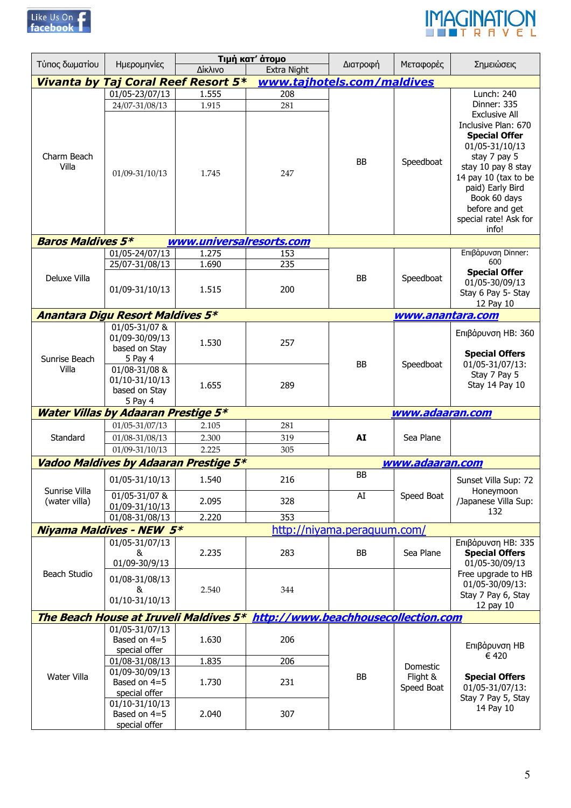



| Τύπος δωματίου           | Ημερομηνίες                                           |                          | Τιμή κατ' άτομο                     | Διατροφή                    | Μεταφορές              | Σημειώσεις                                                                                                                         |
|--------------------------|-------------------------------------------------------|--------------------------|-------------------------------------|-----------------------------|------------------------|------------------------------------------------------------------------------------------------------------------------------------|
|                          |                                                       | Δίκλινο                  | <b>Extra Night</b>                  |                             |                        |                                                                                                                                    |
|                          | <b>Vivanta by Taj Coral Reef Resort 5*</b>            |                          | www.tajhotels.com/maldives          |                             |                        |                                                                                                                                    |
|                          | 01/05-23/07/13                                        | 1.555                    | 208                                 |                             |                        | Lunch: 240                                                                                                                         |
|                          | 24/07-31/08/13                                        | 1.915                    | 281                                 |                             |                        | Dinner: 335                                                                                                                        |
| Charm Beach              |                                                       |                          |                                     | <b>BB</b>                   | Speedboat              | <b>Exclusive All</b><br>Inclusive Plan: 670<br><b>Special Offer</b><br>01/05-31/10/13<br>stay 7 pay 5                              |
| Villa                    | 01/09-31/10/13                                        | 1.745                    | 247                                 |                             |                        | stay 10 pay 8 stay<br>14 pay 10 (tax to be<br>paid) Early Bird<br>Book 60 days<br>before and get<br>special rate! Ask for<br>info! |
| <b>Baros Maldives 5*</b> |                                                       | www.universalresorts.com |                                     |                             |                        |                                                                                                                                    |
|                          | $01/05 - 24/07/13$                                    | 1.275                    | 153                                 |                             |                        | Επιβάρυνση Dinner:                                                                                                                 |
|                          | 25/07-31/08/13                                        | 1.690                    | 235                                 |                             |                        | 600                                                                                                                                |
| Deluxe Villa             | 01/09-31/10/13                                        | 1.515                    | 200                                 | BB                          | Speedboat              | <b>Special Offer</b><br>01/05-30/09/13<br>Stay 6 Pay 5- Stay<br>12 Pay 10                                                          |
|                          | <b>Anantara Digu Resort Maldives 5*</b>               |                          |                                     |                             | www.anantara.com       |                                                                                                                                    |
|                          | 01/05-31/07 &<br>01/09-30/09/13                       | 1.530                    | 257                                 |                             |                        | Επιβάρυνση ΗΒ: 360                                                                                                                 |
| Sunrise Beach<br>Villa   | based on Stay<br>5 Pay 4                              |                          |                                     | BB                          | Speedboat              | <b>Special Offers</b><br>01/05-31/07/13:                                                                                           |
|                          | 01/08-31/08 &<br>01/10-31/10/13<br>based on Stay      | 1.655                    | 289                                 |                             |                        | Stay 7 Pay 5<br>Stay 14 Pay 10                                                                                                     |
|                          | 5 Pay 4<br><b>Water Villas by Adaaran Prestige 5*</b> |                          |                                     |                             | www.adaaran.com        |                                                                                                                                    |
|                          | 01/05-31/07/13                                        | 2.105                    |                                     |                             |                        |                                                                                                                                    |
|                          |                                                       |                          | 281<br>319                          |                             | Sea Plane              |                                                                                                                                    |
| Standard                 | 01/08-31/08/13                                        | 2.300                    |                                     | AI                          |                        |                                                                                                                                    |
|                          | 01/09-31/10/13                                        | 2.225                    | 305                                 |                             |                        |                                                                                                                                    |
|                          | Vadoo Maldives by Adaaran Prestige 5*                 |                          |                                     | <b>BB</b>                   | www.adaaran.com        |                                                                                                                                    |
| Sunrise Villa            | 01/05-31/10/13                                        | 1.540                    | 216                                 |                             |                        | Sunset Villa Sup: 72<br>Honeymoon                                                                                                  |
| (water villa)            | 01/05-31/07 &<br>01/09-31/10/13<br>01/08-31/08/13     | 2.095<br>2.220           | 328<br>353                          | AI                          | Speed Boat             | /Japanese Villa Sup:<br>132                                                                                                        |
|                          | <b>Niyama Maldives - NEW 5*</b>                       |                          |                                     | http://niyama.peraguum.com/ |                        |                                                                                                                                    |
|                          | 01/05-31/07/13                                        |                          |                                     |                             |                        | Επιβάρυνση ΗΒ: 335                                                                                                                 |
|                          | &<br>01/09-30/9/13                                    | 2.235                    | 283                                 | <b>BB</b>                   | Sea Plane              | <b>Special Offers</b><br>01/05-30/09/13                                                                                            |
| Beach Studio             | 01/08-31/08/13<br>&                                   | 2.540                    | 344                                 |                             |                        | Free upgrade to HB<br>01/05-30/09/13:                                                                                              |
|                          | 01/10-31/10/13                                        |                          |                                     |                             |                        | Stay 7 Pay 6, Stay<br>12 pay 10                                                                                                    |
|                          | The Beach House at Iruveli Maldives 5*                |                          | http://www.beachhousecollection.com |                             |                        |                                                                                                                                    |
|                          | 01/05-31/07/13<br>Based on 4=5<br>special offer       | 1.630                    | 206                                 |                             |                        | Επιβάρυνση ΗΒ                                                                                                                      |
|                          | 01/08-31/08/13                                        | 1.835                    | 206                                 |                             | Domestic               | € 420                                                                                                                              |
| Water Villa              | 01/09-30/09/13<br>Based on 4=5<br>special offer       | 1.730                    | 231                                 | BB                          | Flight &<br>Speed Boat | <b>Special Offers</b><br>01/05-31/07/13:                                                                                           |
|                          | 01/10-31/10/13<br>Based on 4=5<br>special offer       | 2.040                    | 307                                 |                             |                        | Stay 7 Pay 5, Stay<br>14 Pay 10                                                                                                    |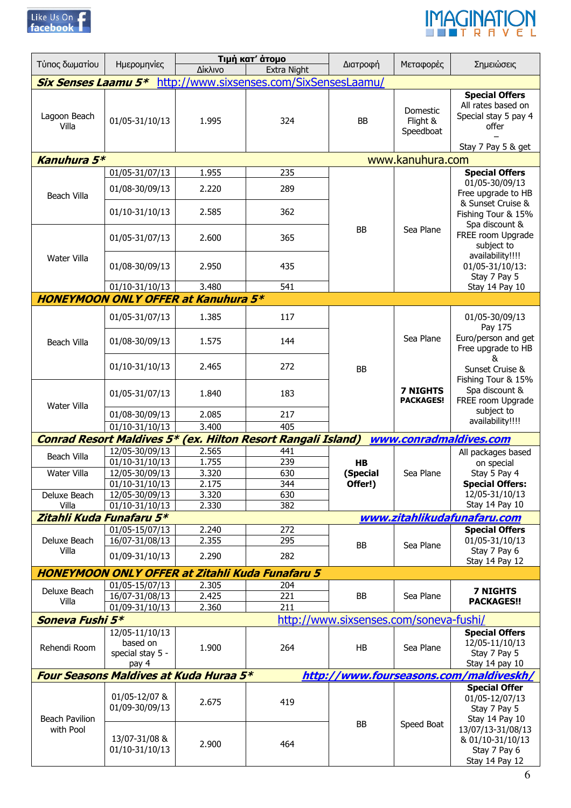



|                          |                                       | Τιμή κατ' άτομο                            |                                                                     |                                        |                                     |                                                                                                    |
|--------------------------|---------------------------------------|--------------------------------------------|---------------------------------------------------------------------|----------------------------------------|-------------------------------------|----------------------------------------------------------------------------------------------------|
| Τύπος δωματίου           | Ημερομηνίες                           | Δίκλινο                                    | <b>Extra Night</b>                                                  | Διατροφή                               | Μεταφορές                           | Σημειώσεις                                                                                         |
|                          |                                       |                                            | <b>Six Senses Laamu 5*</b> http://www.sixsenses.com/SixSensesLaamu/ |                                        |                                     |                                                                                                    |
| Lagoon Beach<br>Villa    | 01/05-31/10/13                        | 1.995                                      | 324                                                                 | BB                                     | Domestic<br>Flight &<br>Speedboat   | <b>Special Offers</b><br>All rates based on<br>Special stay 5 pay 4<br>offer<br>Stay 7 Pay 5 & get |
| Kanuhura 5*              |                                       |                                            |                                                                     |                                        | www.kanuhura.com                    |                                                                                                    |
|                          | 01/05-31/07/13                        | 1.955                                      | 235                                                                 |                                        |                                     | <b>Special Offers</b>                                                                              |
| Beach Villa              | 01/08-30/09/13                        | 2.220                                      | 289                                                                 |                                        |                                     | 01/05-30/09/13<br>Free upgrade to HB<br>& Sunset Cruise &                                          |
|                          | 01/10-31/10/13                        | 2.585                                      | 362                                                                 | <b>BB</b>                              | Sea Plane                           | Fishing Tour & 15%<br>Spa discount &                                                               |
|                          | 01/05-31/07/13                        | 2.600                                      | 365                                                                 |                                        |                                     | FREE room Upgrade<br>subject to<br>availability!!!!                                                |
| Water Villa              | 01/08-30/09/13                        | 2.950                                      | 435                                                                 |                                        |                                     | 01/05-31/10/13:<br>Stay 7 Pay 5                                                                    |
|                          | 01/10-31/10/13                        | 3.480                                      | 541                                                                 |                                        |                                     | Stay 14 Pay 10                                                                                     |
|                          |                                       | <b>HONEYMOON ONLY OFFER at Kanuhura 5*</b> |                                                                     |                                        |                                     |                                                                                                    |
|                          | 01/05-31/07/13                        | 1.385                                      | 117                                                                 | <b>BB</b>                              |                                     | 01/05-30/09/13<br>Pay 175                                                                          |
| <b>Beach Villa</b>       | 01/08-30/09/13                        | 1.575                                      | 144                                                                 |                                        | Sea Plane                           | Euro/person and get<br>Free upgrade to HB<br>&                                                     |
|                          | 01/10-31/10/13                        | 2.465                                      | 272                                                                 |                                        |                                     | Sunset Cruise &<br>Fishing Tour & 15%                                                              |
| Water Villa              | 01/05-31/07/13                        | 1.840                                      | 183                                                                 |                                        | <b>7 NIGHTS</b><br><b>PACKAGES!</b> | Spa discount &<br>FREE room Upgrade<br>subject to                                                  |
|                          | 01/08-30/09/13                        | 2.085                                      | 217                                                                 |                                        |                                     | availability!!!!                                                                                   |
|                          | $01/10-31/10/13$                      | 3.400                                      | 405                                                                 |                                        |                                     |                                                                                                    |
|                          | <b>Conrad Resort Maldives 5*</b>      |                                            | (ex. Hilton Resort Rangali Island)                                  |                                        |                                     | www.conradmaldives.com                                                                             |
| Beach Villa              | 12/05-30/09/13                        | 2.565                                      | 441                                                                 |                                        |                                     | All packages based                                                                                 |
|                          | 01/10-31/10/13                        | 1.755                                      | 239                                                                 | HB                                     |                                     | on special                                                                                         |
| Water Villa              | 12/05-30/09/13                        | 3.320                                      | 630                                                                 | (Special                               | Sea Plane                           | Stay 5 Pay 4                                                                                       |
|                          | 01/10-31/10/13                        | 2.175                                      | 344                                                                 | Offer!)                                |                                     | <b>Special Offers:</b>                                                                             |
| Deluxe Beach             | 12/05-30/09/13                        | 3.320                                      | 630                                                                 |                                        |                                     | 12/05-31/10/13                                                                                     |
| Villa                    | 01/10-31/10/13                        | 2.330                                      | 382                                                                 |                                        |                                     | Stay 14 Pay 10                                                                                     |
| Zitahli Kuda Funafaru 5* |                                       |                                            |                                                                     |                                        |                                     | www.zitahlikudafunafaru.com                                                                        |
|                          | 01/05-15/07/13                        | 2.240                                      | 272                                                                 |                                        |                                     | <b>Special Offers</b>                                                                              |
| Deluxe Beach             | 16/07-31/08/13                        | 2.355                                      | 295                                                                 | BB                                     | Sea Plane                           | 01/05-31/10/13                                                                                     |
| Villa                    | 01/09-31/10/13                        | 2.290                                      | 282                                                                 |                                        |                                     | Stay 7 Pay 6<br>Stay 14 Pay 12                                                                     |
|                          |                                       |                                            | <b>HONEYMOON ONLY OFFER at Zitahli Kuda Funafaru 5</b>              |                                        |                                     |                                                                                                    |
|                          | 01/05-15/07/13                        |                                            |                                                                     |                                        |                                     |                                                                                                    |
| Deluxe Beach             | 16/07-31/08/13                        | 2.305<br>2.425                             | 204<br>221                                                          | BB                                     | Sea Plane                           | <b>7 NIGHTS</b>                                                                                    |
| Villa                    | 01/09-31/10/13                        | 2.360                                      | 211                                                                 |                                        |                                     | <b>PACKAGES!!</b>                                                                                  |
|                          |                                       |                                            |                                                                     |                                        |                                     |                                                                                                    |
| Soneva Fushi 5*          |                                       |                                            |                                                                     | http://www.sixsenses.com/soneva-fushi/ |                                     |                                                                                                    |
|                          | 12/05-11/10/13                        |                                            |                                                                     |                                        |                                     | <b>Special Offers</b>                                                                              |
| Rehendi Room             | based on<br>special stay 5 -<br>pay 4 | 1.900                                      | 264                                                                 | HB                                     | Sea Plane                           | 12/05-11/10/13<br>Stay 7 Pay 5<br>Stay 14 pay 10                                                   |
|                          |                                       | Four Seasons Maldives at Kuda Huraa 5*     |                                                                     | http://www.fourseasons.com             |                                     | /maldiveskh/                                                                                       |
|                          |                                       |                                            |                                                                     |                                        |                                     | <b>Special Offer</b>                                                                               |
| <b>Beach Pavilion</b>    | 01/05-12/07 &<br>01/09-30/09/13       | 2.675                                      | 419                                                                 | BB                                     |                                     | 01/05-12/07/13<br>Stay 7 Pay 5<br>Stay 14 Pay 10                                                   |
| with Pool                | 13/07-31/08 &<br>01/10-31/10/13       | 2.900                                      | 464                                                                 |                                        | Speed Boat                          | 13/07/13-31/08/13<br>& 01/10-31/10/13<br>Stay 7 Pay 6<br>Stay 14 Pay 12                            |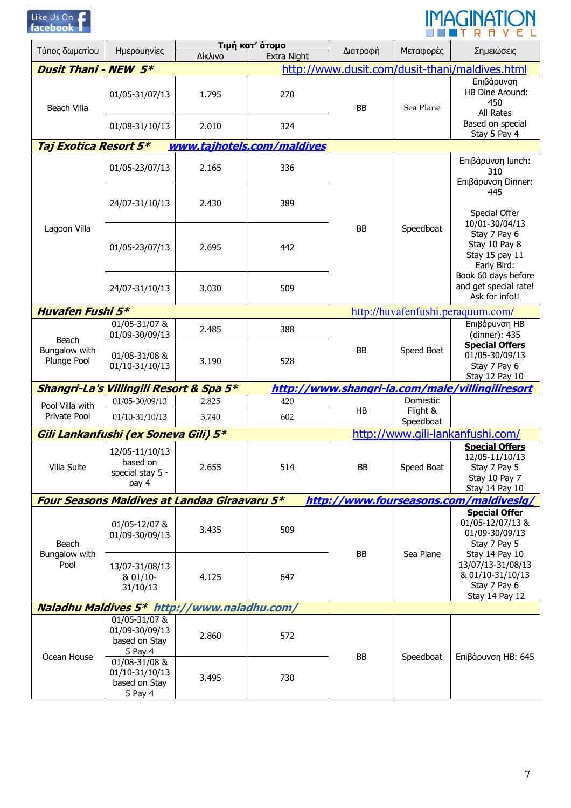

# IMAGINATION

| Τύπος δωματίου               | Ημερομηνίες                                                 |         | Τιμή κατ' άτομο            | Διατροφή  | Μεταφορές             | Σημειώσεις                                                                                              |
|------------------------------|-------------------------------------------------------------|---------|----------------------------|-----------|-----------------------|---------------------------------------------------------------------------------------------------------|
|                              |                                                             | Δίκλινο | <b>Extra Night</b>         |           |                       |                                                                                                         |
| <b>Dusit Thani - NEW 5*</b>  |                                                             |         |                            |           |                       | http://www.dusit.com/dusit-thani/maldives.html                                                          |
| Beach Villa                  | 01/05-31/07/13                                              | 1.795   | 270                        | BB        | Sea Plane             | Επιβάρυνση<br>HB Dine Around:<br>450<br>All Rates                                                       |
|                              | 01/08-31/10/13                                              | 2.010   | 324                        |           |                       | Based on special<br>Stay 5 Pay 4                                                                        |
| Taj Exotica Resort 5*        |                                                             |         | www.tajhotels.com/maldives |           |                       |                                                                                                         |
|                              | 01/05-23/07/13                                              | 2.165   | 336                        |           |                       | Επιβάρυνση lunch:<br>310<br>Επιβάρυνση Dinner:                                                          |
|                              | 24/07-31/10/13                                              | 2.430   | 389                        |           |                       | 445<br>Special Offer                                                                                    |
| Lagoon Villa                 | 01/05-23/07/13                                              | 2.695   | 442                        | BB        | Speedboat             | 10/01-30/04/13<br>Stay 7 Pay 6<br>Stay 10 Pay 8<br>Stay 15 pay 11<br>Early Bird:<br>Book 60 days before |
|                              | 24/07-31/10/13                                              | 3.030   | 509                        |           |                       | and get special rate!<br>Ask for info!!                                                                 |
| <b>Huvafen Fushi 5*</b>      |                                                             |         |                            |           |                       | http://huvafenfushi.peraquum.com/                                                                       |
| Beach                        | 01/05-31/07 &<br>01/09-30/09/13                             | 2.485   | 388                        | BB        | Speed Boat            | Επιβάρυνση ΗΒ<br>(dinner): 435                                                                          |
| Bungalow with<br>Plunge Pool | 01/08-31/08 &<br>01/10-31/10/13                             | 3.190   | 528                        |           |                       | <b>Special Offers</b><br>01/05-30/09/13<br>Stay 7 Pay 6<br>Stay 12 Pay 10                               |
|                              | Shangri-La's Villingili Resort & Spa 5*                     |         |                            |           |                       | http://www.shangri-la.com/male/villingiliresort                                                         |
| Pool Villa with              | 01/05-30/09/13                                              | 2.825   | 420                        |           | Domestic              |                                                                                                         |
| Private Pool                 | $01/10-31/10/13$                                            | 3.740   | 602                        | <b>HB</b> | Flight &<br>Speedboat |                                                                                                         |
|                              | Gili Lankanfushi (ex Soneva Gili) 5*                        |         |                            |           |                       | http://www.gili-lankanfushi.com/                                                                        |
| Villa Suite                  | 12/05-11/10/13<br>based on<br>special stay 5 -<br>pay 4     | 2.655   | 514                        | BB        | Speed Boat            | <b>Special Offers</b><br>12/05-11/10/13<br>Stay 7 Pay 5<br>Stay 10 Pay 7<br>Stay 14 Pay 10              |
|                              | <b>Four Seasons Maldives at Landaa Giraavaru 5*</b>         |         |                            |           |                       | http://www.fourseasons.com/maldiveslg/                                                                  |
| Beach                        | 01/05-12/07 &<br>01/09-30/09/13                             | 3.435   | 509                        |           |                       | <b>Special Offer</b><br>01/05-12/07/13 &<br>01/09-30/09/13<br>Stay 7 Pay 5                              |
| Bungalow with<br>Pool        | 13/07-31/08/13<br>& 01/10-<br>31/10/13                      | 4.125   | 647                        | BB        | Sea Plane             | Stay 14 Pay 10<br>13/07/13-31/08/13<br>& 01/10-31/10/13<br>Stay 7 Pay 6<br>Stay 14 Pay 12               |
|                              | Naladhu Maldives 5* http://www.naladhu.com/                 |         |                            |           |                       |                                                                                                         |
| Ocean House                  | 01/05-31/07 &<br>01/09-30/09/13<br>based on Stay<br>5 Pay 4 | 2.860   | 572                        | BB        | Speedboat             | Επιβάρυνση ΗΒ: 645                                                                                      |
|                              | 01/08-31/08 &<br>01/10-31/10/13<br>based on Stay<br>5 Pay 4 | 3.495   | 730                        |           |                       |                                                                                                         |